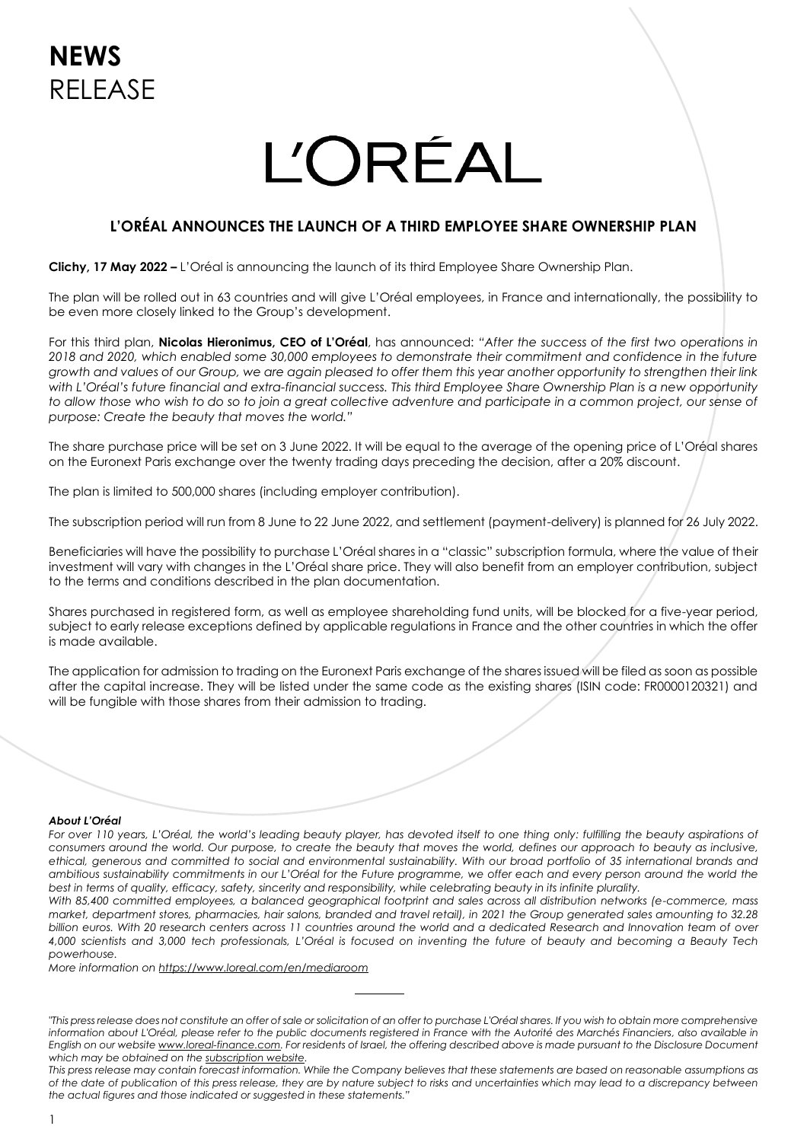# **L'ORÉAL**

## **L'ORÉAL ANNOUNCES THE LAUNCH OF A THIRD EMPLOYEE SHARE OWNERSHIP PLAN**

**Clichy, 17 May 2022 –** L'Oréal is announcing the launch of its third Employee Share Ownership Plan.

The plan will be rolled out in 63 countries and will give L'Oréal employees, in France and internationally, the possibility to be even more closely linked to the Group's development.

For this third plan, **Nicolas Hieronimus, CEO of L'Oréal**, has announced: *"After the success of the first two operations in 2018 and 2020, which enabled some 30,000 employees to demonstrate their commitment and confidence in the future growth and values of our Group, we are again pleased to offer them this year another opportunity to strengthen their link with L'Oréal's future financial and extra-financial success. This third Employee Share Ownership Plan is a new opportunity to allow those who wish to do so to join a great collective adventure and participate in a common project, our sense of purpose: Create the beauty that moves the world."*

The share purchase price will be set on 3 June 2022. It will be equal to the average of the opening price of L'Oréal shares on the Euronext Paris exchange over the twenty trading days preceding the decision, after a 20% discount.

The plan is limited to 500,000 shares (including employer contribution).

The subscription period will run from 8 June to 22 June 2022, and settlement (payment-delivery) is planned for 26 July 2022.

Beneficiaries will have the possibility to purchase L'Oréal shares in a "classic" subscription formula, where the value of their investment will vary with changes in the L'Oréal share price. They will also benefit from an employer contribution, subject to the terms and conditions described in the plan documentation.

Shares purchased in registered form, as well as employee shareholding fund units, will be blocked for a five-year period, subject to early release exceptions defined by applicable regulations in France and the other countries in which the offer is made available.

The application for admission to trading on the Euronext Paris exchange of the shares issued will be filed as soon as possible after the capital increase. They will be listed under the same code as the existing shares (ISIN code: FR0000120321) and will be fungible with those shares from their admission to trading.

#### *About L'Oréal*

*For over 110 years, L'Oréal, the world's leading beauty player, has devoted itself to one thing only: fulfilling the beauty aspirations of consumers around the world. Our purpose, to create the beauty that moves the world, defines our approach to beauty as inclusive, ethical, generous and committed to social and environmental sustainability. With our broad portfolio of 35 international brands and ambitious sustainability commitments in our L'Oréal for the Future programme, we offer each and every person around the world the best in terms of quality, efficacy, safety, sincerity and responsibility, while celebrating beauty in its infinite plurality.* 

*With 85,400 committed employees, a balanced geographical footprint and sales across all distribution networks (e-commerce, mass market, department stores, pharmacies, hair salons, branded and travel retail), in 2021 the Group generated sales amounting to 32.28 billion euros. With 20 research centers across 11 countries around the world and a dedicated Research and Innovation team of over 4,000 scientists and 3,000 tech professionals, L'Oréal is focused on inventing the future of beauty and becoming a Beauty Tech powerhouse.* 

*More information on<https://www.loreal.com/en/mediaroom>*

*<sup>&</sup>quot;This press release does not constitute an offer of sale or solicitation of an offer to purchase L'Oréal shares. If you wish to obtain more comprehensive*  information about L'Oréal, please refer to the public documents registered in France with the Autorité des Marchés Financiers, also available in *English on our websit[e www.loreal-finance.com.](http://www.loreal-finance.com/) For residents of Israel, the offering described above is made pursuant to the Disclosure Document which may be obtained on th[e subscription website.](https://invest.loreal.com/)*

*This press release may contain forecast information. While the Company believes that these statements are based on reasonable assumptions as of the date of publication of this press release, they are by nature subject to risks and uncertainties which may lead to a discrepancy between the actual figures and those indicated or suggested in these statements."*